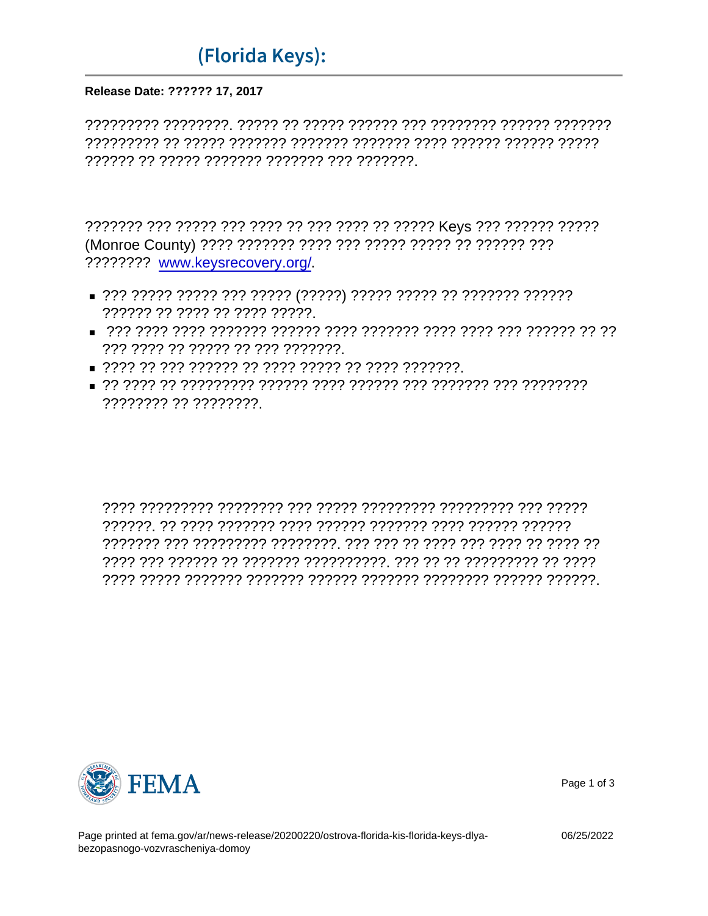## ADH1J/' CJ2 (Florida Keys): .77 DDE3\*B(I

## Release Date: ?????? 17, 2017

???????? www.keysrecovery.org/

- 777777 77 7777 77 7777 77777
- ??? ???? ?? ????? ?? ??? ???????
- 
- 

## CF, 'G2' B(D 'D9H/)

 $'D3D'E)'DGJCDJ)$ 



Page 1 of 3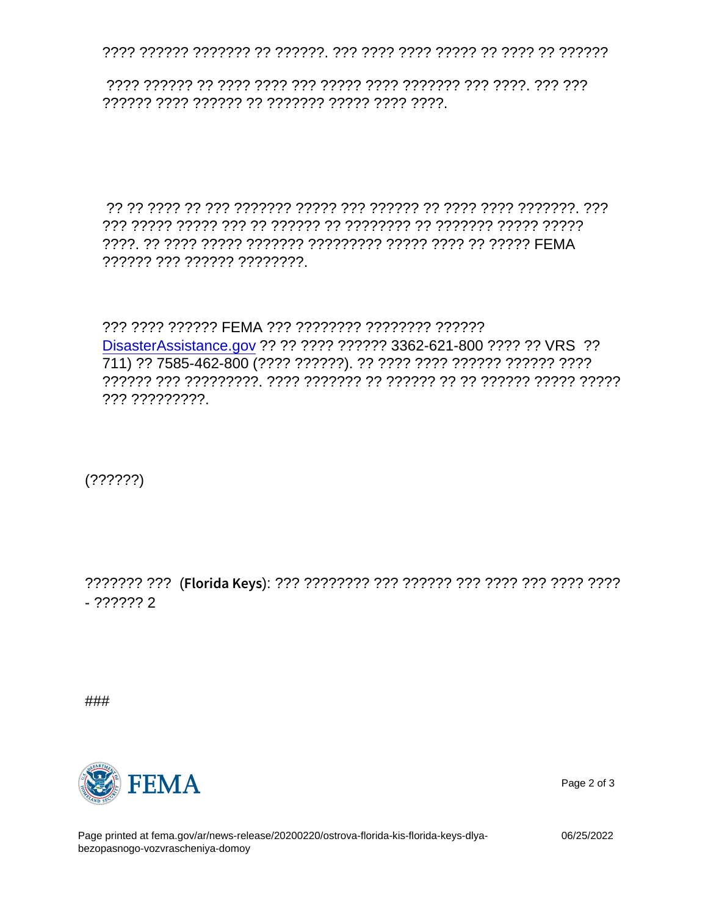## 3, D DD-5HD 9DI 'DE3'9/) 'DAJ/1'DJ)

?????? ??? ?????? ????????.

??? ???? ?????? FEMA ??? ???????? ???????? ?????? DisasterAssistance.gov ?? ?? ???? ?????? 3362-621-800 ???? ?? VRS ?? 711) ?? 7585-462-800 (???? ??????). ?? ???? ???? ?????? ?????? ???? ??? ?????????.

 $(??????)$ 

 $-222222$ 

###



Page 2 of 3